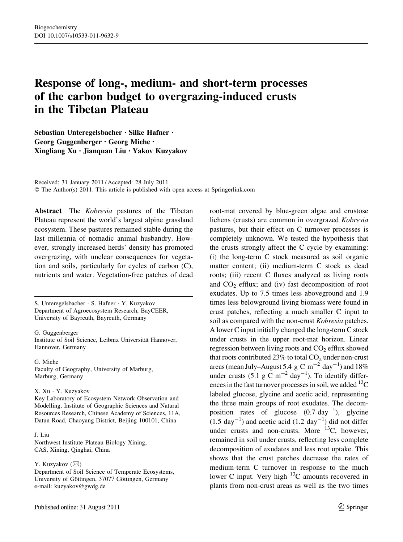# Response of long-, medium- and short-term processes of the carbon budget to overgrazing-induced crusts in the Tibetan Plateau

Sebastian Unteregelsbacher • Silke Hafner • Georg Guggenberger • Georg Miehe • Xingliang Xu • Jianquan Liu • Yakov Kuzyakov

Received: 31 January 2011 / Accepted: 28 July 2011 © The Author(s) 2011. This article is published with open access at Springerlink.com

Abstract The Kobresia pastures of the Tibetan Plateau represent the world's largest alpine grassland ecosystem. These pastures remained stable during the last millennia of nomadic animal husbandry. However, strongly increased herds' density has promoted overgrazing, with unclear consequences for vegetation and soils, particularly for cycles of carbon (C), nutrients and water. Vegetation-free patches of dead

S. Unteregelsbacher - S. Hafner - Y. Kuzyakov Department of Agroecosystem Research, BayCEER, University of Bayreuth, Bayreuth, Germany

G. Guggenberger Institute of Soil Science, Leibniz Universität Hannover, Hannover, Germany

G. Miehe Faculty of Geography, University of Marburg, Marburg, Germany

#### X. Xu - Y. Kuzyakov

Key Laboratory of Ecosystem Network Observation and Modelling, Institute of Geographic Sciences and Natural Resources Research, Chinese Academy of Sciences, 11A, Datun Road, Chaoyang District, Beijing 100101, China

### J. Liu

Northwest Institute Plateau Biology Xining, CAS, Xining, Qinghai, China

Y. Kuzyakov  $(\boxtimes)$ 

Department of Soil Science of Temperate Ecosystems, University of Göttingen, 37077 Göttingen, Germany e-mail: kuzyakov@gwdg.de

root-mat covered by blue-green algae and crustose lichens (crusts) are common in overgrazed Kobresia pastures, but their effect on C turnover processes is completely unknown. We tested the hypothesis that the crusts strongly affect the C cycle by examining: (i) the long-term C stock measured as soil organic matter content; (ii) medium-term C stock as dead roots; (iii) recent C fluxes analyzed as living roots and  $CO<sub>2</sub>$  efflux; and (iv) fast decomposition of root exudates. Up to 7.5 times less aboveground and 1.9 times less belowground living biomass were found in crust patches, reflecting a much smaller C input to soil as compared with the non-crust Kobresia patches. A lower C input initially changed the long-term C stock under crusts in the upper root-mat horizon. Linear regression between living roots and  $CO<sub>2</sub>$  efflux showed that roots contributed 23% to total  $CO<sub>2</sub>$  under non-crust areas (mean July–August 5.4 g C m<sup>-2</sup> day<sup>-1</sup>) and 18% under crusts  $(5.1 \text{ g C m}^{-2} \text{ day}^{-1})$ . To identify differences in the fast turnover processes in soil, we added  $^{13}C$ labeled glucose, glycine and acetic acid, representing the three main groups of root exudates. The decomposition rates of glucose  $(0.7 \text{ day}^{-1})$ , glycine  $(1.5 \text{ day}^{-1})$  and acetic acid  $(1.2 \text{ day}^{-1})$  did not differ under crusts and non-crusts. More  $^{13}C$ , however, remained in soil under crusts, reflecting less complete decomposition of exudates and less root uptake. This shows that the crust patches decrease the rates of medium-term C turnover in response to the much lower C input. Very high 13C amounts recovered in plants from non-crust areas as well as the two times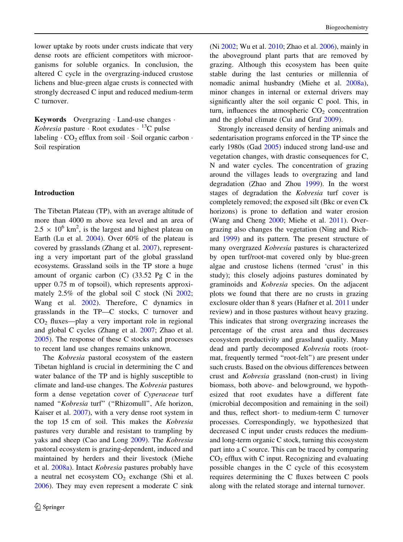lower uptake by roots under crusts indicate that very dense roots are efficient competitors with microorganisms for soluble organics. In conclusion, the altered C cycle in the overgrazing-induced crustose lichens and blue-green algae crusts is connected with strongly decreased C input and reduced medium-term C turnover.

Keywords Overgrazing - Land-use changes - Kobresia pasture  $\cdot$  Root exudates  $\cdot$  <sup>13</sup>C pulse labeling  $\cdot$  CO<sub>2</sub> efflux from soil  $\cdot$  Soil organic carbon  $\cdot$ Soil respiration

## Introduction

The Tibetan Plateau (TP), with an average altitude of more than 4000 m above sea level and an area of  $2.5 \times 10^6$  km<sup>2</sup>, is the largest and highest plateau on Earth (Lu et al. [2004\)](#page-13-0). Over 60% of the plateau is covered by grasslands (Zhang et al. [2007](#page-14-0)), representing a very important part of the global grassland ecosystems. Grassland soils in the TP store a huge amount of organic carbon (C) (33.52 Pg C in the upper 0.75 m of topsoil), which represents approximately 2.5% of the global soil C stock (Ni [2002](#page-13-0); Wang et al. [2002\)](#page-13-0). Therefore, C dynamics in grasslands in the TP—C stocks, C turnover and  $CO<sub>2</sub> fluxes—play a very important role in regional$ and global C cycles (Zhang et al. [2007](#page-14-0); Zhao et al. [2005\)](#page-14-0). The response of these C stocks and processes to recent land use changes remains unknown.

The Kobresia pastoral ecosystem of the eastern Tibetan highland is crucial in determining the C and water balance of the TP and is highly susceptible to climate and land-use changes. The Kobresia pastures form a dense vegetation cover of Cyperaceae turf named "Kobresia turf" ("Rhizomull", Afe horizon, Kaiser et al. [2007\)](#page-12-0), with a very dense root system in the top 15 cm of soil. This makes the Kobresia pastures very durable and resistant to trampling by yaks and sheep (Cao and Long [2009](#page-12-0)). The Kobresia pastoral ecosystem is grazing-dependent, induced and maintained by herders and their livestock (Miehe et al. [2008a](#page-13-0)). Intact Kobresia pastures probably have a neutral net ecosystem  $CO<sub>2</sub>$  exchange (Shi et al. [2006\)](#page-13-0). They may even represent a moderate C sink

(Ni [2002;](#page-13-0) Wu et al. [2010](#page-13-0); Zhao et al. [2006](#page-14-0)), mainly in the aboveground plant parts that are removed by grazing. Although this ecosystem has been quite stable during the last centuries or millennia of nomadic animal husbandry (Miehe et al. [2008a](#page-13-0)), minor changes in internal or external drivers may significantly alter the soil organic C pool. This, in turn, influences the atmospheric  $CO<sub>2</sub>$  concentration and the global climate (Cui and Graf [2009](#page-12-0)).

Strongly increased density of herding animals and sedentarisation programs enforced in the TP since the early 1980s (Gad [2005\)](#page-12-0) induced strong land-use and vegetation changes, with drastic consequences for C, N and water cycles. The concentration of grazing around the villages leads to overgrazing and land degradation (Zhao and Zhou [1999\)](#page-14-0). In the worst stages of degradation the Kobresia turf cover is completely removed; the exposed silt (Bkc or even Ck horizons) is prone to deflation and water erosion (Wang and Cheng [2000](#page-13-0); Miehe et al. [2011](#page-13-0)). Overgrazing also changes the vegetation (Ning and Richard [1999](#page-13-0)) and its pattern. The present structure of many overgrazed Kobresia pastures is characterized by open turf/root-mat covered only by blue-green algae and crustose lichens (termed 'crust' in this study); this closely adjoins pastures dominated by graminoids and Kobresia species. On the adjacent plots we found that there are no crusts in grazing exclosure older than 8 years (Hafner et al. [2011](#page-12-0) under review) and in those pastures without heavy grazing. This indicates that strong overgrazing increases the percentage of the crust area and thus decreases ecosystem productivity and grassland quality. Many dead and partly decomposed Kobresia roots (rootmat, frequently termed "root-felt") are present under such crusts. Based on the obvious differences between crust and Kobresia grassland (non-crust) in living biomass, both above- and belowground, we hypothesized that root exudates have a different fate (microbial decomposition and remaining in the soil) and thus, reflect short- to medium-term C turnover processes. Correspondingly, we hypothesized that decreased C input under crusts reduces the mediumand long-term organic C stock, turning this ecosystem part into a C source. This can be traced by comparing  $CO<sub>2</sub>$  efflux with C input. Recognizing and evaluating possible changes in the C cycle of this ecosystem requires determining the C fluxes between C pools along with the related storage and internal turnover.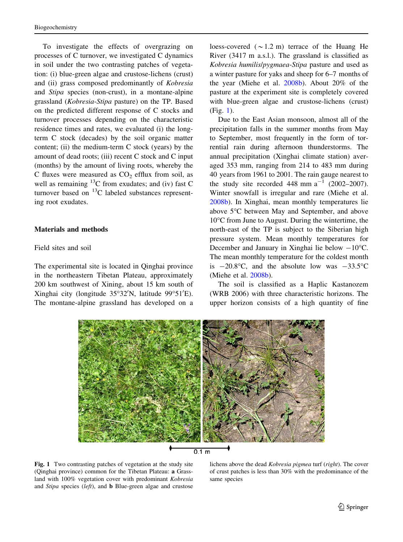<span id="page-2-0"></span>To investigate the effects of overgrazing on processes of C turnover, we investigated C dynamics in soil under the two contrasting patches of vegetation: (i) blue-green algae and crustose-lichens (crust) and (ii) grass composed predominantly of Kobresia and Stipa species (non-crust), in a montane-alpine grassland (Kobresia-Stipa pasture) on the TP. Based on the predicted different response of C stocks and turnover processes depending on the characteristic residence times and rates, we evaluated (i) the longterm C stock (decades) by the soil organic matter content; (ii) the medium-term  $C$  stock (years) by the amount of dead roots; (iii) recent C stock and C input (months) by the amount of living roots, whereby the C fluxes were measured as  $CO<sub>2</sub>$  efflux from soil, as well as remaining  $^{13}$ C from exudates; and (iv) fast C turnover based on  ${}^{13}C$  labeled substances representing root exudates.

## Materials and methods

# Field sites and soil

The experimental site is located in Qinghai province in the northeastern Tibetan Plateau, approximately 200 km southwest of Xining, about 15 km south of Xinghai city (longitude 35°32'N, latitude 99°51'E). The montane-alpine grassland has developed on a

loess-covered  $({\sim}1.2 \text{ m})$  terrace of the Huang He River (3417 m a.s.l.). The grassland is classified as Kobresia humilis/pygmaea-Stipa pasture and used as a winter pasture for yaks and sheep for 6–7 months of the year (Miehe et al. [2008b\)](#page-13-0). About 20% of the pasture at the experiment site is completely covered with blue-green algae and crustose-lichens (crust) (Fig. 1).

Due to the East Asian monsoon, almost all of the precipitation falls in the summer months from May to September, most frequently in the form of torrential rain during afternoon thunderstorms. The annual precipitation (Xinghai climate station) averaged 353 mm, ranging from 214 to 483 mm during 40 years from 1961 to 2001. The rain gauge nearest to the study site recorded 448 mm  $a^{-1}$  (2002–2007). Winter snowfall is irregular and rare (Miehe et al. [2008b\)](#page-13-0). In Xinghai, mean monthly temperatures lie above 5°C between May and September, and above  $10^{\circ}$ C from June to August. During the wintertime, the north-east of the TP is subject to the Siberian high pressure system. Mean monthly temperatures for December and January in Xinghai lie below  $-10^{\circ}$ C. The mean monthly temperature for the coldest month is  $-20.8$ °C, and the absolute low was  $-33.5$ °C (Miehe et al. [2008b\)](#page-13-0).

The soil is classified as a Haplic Kastanozem (WRB 2006) with three characteristic horizons. The upper horizon consists of a high quantity of fine





Fig. 1 Two contrasting patches of vegetation at the study site (Qinghai province) common for the Tibetan Plateau: a Grassland with 100% vegetation cover with predominant Kobresia and Stipa species (left), and b Blue-green algae and crustose

lichens above the dead Kobresia pigmea turf (right). The cover of crust patches is less than 30% with the predominance of the same species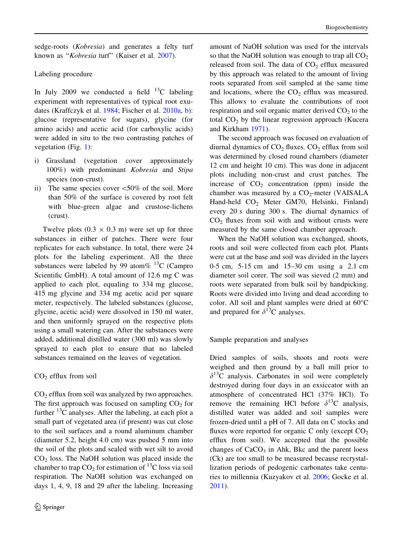sedge-roots (Kobresia) and generates a felty turf known as "Kobresia turf" (Kaiser et al. [2007\)](#page-12-0).

# Labeling procedure

In July 2009 we conducted a field  $^{13}$ C labeling experiment with representatives of typical root exudates (Kraffczyk et al. [1984](#page-12-0); Fischer et al. [2010a,](#page-12-0) [b](#page-12-0)): glucose (representative for sugars), glycine (for amino acids) and acetic acid (for carboxylic acids) were added in situ to the two contrasting patches of vegetation (Fig. [1](#page-2-0)):

- i) Grassland (vegetation cover approximately 100%) with predominant Kobresia and Stipa species (non-crust).
- ii) The same species cover  $\leq 50\%$  of the soil. More than 50% of the surface is covered by root felt with blue-green algae and crustose-lichens (crust).

Twelve plots  $(0.3 \times 0.3 \text{ m})$  were set up for three substances in either of patches. There were four replicates for each substance. In total, there were 24 plots for the labeling experiment. All the three substances were labeled by 99 atom%  $^{13}$ C (Campro Scientific GmbH). A total amount of 12.6 mg C was applied to each plot, equaling to 334 mg glucose, 415 mg glycine and 334 mg acetic acid per square meter, respectively. The labeled substances (glucose, glycine, acetic acid) were dissolved in 150 ml water, and then uniformly sprayed on the respective plots using a small watering can. After the substances were added, additional distilled water (300 ml) was slowly sprayed to each plot to ensure that no labeled substances remained on the leaves of vegetation.

 $CO<sub>2</sub>$  efflux from soil

CO2 efflux from soil was analyzed by two approaches. The first approach was focused on sampling  $CO<sub>2</sub>$  for further  $^{13}$ C analyses. After the labeling, at each plot a small part of vegetated area (if present) was cut close to the soil surfaces and a round aluminum chamber (diameter 5.2, height 4.0 cm) was pushed 5 mm into the soil of the plots and sealed with wet silt to avoid  $CO<sub>2</sub>$  loss. The NaOH solution was placed inside the chamber to trap  $CO<sub>2</sub>$  for estimation of <sup>13</sup>C loss via soil respiration. The NaOH solution was exchanged on days 1, 4, 9, 18 and 29 after the labeling. Increasing

amount of NaOH solution was used for the intervals so that the NaOH solution was enough to trap all  $CO<sub>2</sub>$ released from soil. The data of  $CO<sub>2</sub>$  efflux measured by this approach was related to the amount of living roots separated from soil sampled at the same time and locations, where the  $CO<sub>2</sub>$  efflux was measured. This allows to evaluate the contributions of root respiration and soil organic matter derived  $CO<sub>2</sub>$  to the total  $CO<sub>2</sub>$  by the linear regression approach (Kucera and Kirkham [1971\)](#page-13-0).

The second approach was focused on evaluation of diurnal dynamics of  $CO<sub>2</sub>$  fluxes.  $CO<sub>2</sub>$  efflux from soil was determined by closed round chambers (diameter 12 cm and height 10 cm). This was done in adjacent plots including non-crust and crust patches. The increase of  $CO<sub>2</sub>$  concentration (ppm) inside the chamber was measured by a  $CO_2$ -meter (VAISALA Hand-held CO<sub>2</sub> Meter GM70, Helsinki, Finland) every 20 s during 300 s. The diurnal dynamics of  $CO<sub>2</sub>$  fluxes from soil with and without crusts were measured by the same closed chamber approach.

When the NaOH solution was exchanged, shoots, roots and soil were collected from each plot. Plants were cut at the base and soil was divided in the layers 0-5 cm, 5-15 cm and 15–30 cm using a 2.1 cm diameter soil corer. The soil was sieved (2 mm) and roots were separated from bulk soil by handpicking. Roots were divided into living and dead according to color. All soil and plant samples were dried at  $60^{\circ}$ C and prepared for  $\delta^{13}$ C analyses.

Sample preparation and analyses

Dried samples of soils, shoots and roots were weighed and then ground by a ball mill prior to  $\delta^{13}$ C analysis. Carbonates in soil were completely destroyed during four days in an exsiccator with an atmosphere of concentrated HCl (37% HCl). To remove the remaining HCl before  $\delta^{13}$ C analysis, distilled water was added and soil samples were frozen-dried until a pH of 7. All data on C stocks and fluxes were reported for organic C only (except  $CO<sub>2</sub>$ ) efflux from soil). We accepted that the possible changes of  $CaCO<sub>3</sub>$  in Ahk, Bkc and the parent loess (Ck) are too small to be measured because recrystallization periods of pedogenic carbonates take centuries to millennia (Kuzyakov et al. [2006](#page-13-0); Gocke et al. [2011\)](#page-12-0).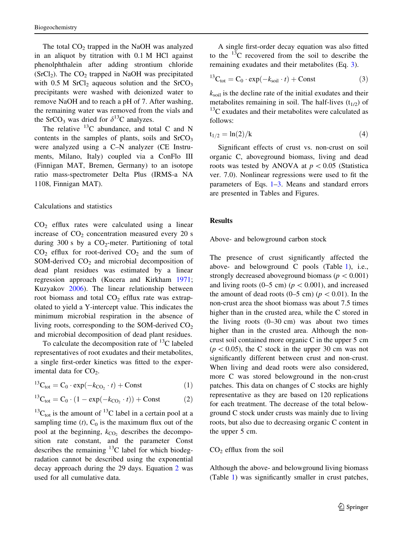<span id="page-4-0"></span>The total  $CO<sub>2</sub>$  trapped in the NaOH was analyzed in an aliquot by titration with 0.1 M HCl against phenolphthalein after adding strontium chloride  $(SrCl<sub>2</sub>)$ . The  $CO<sub>2</sub>$  trapped in NaOH was precipitated with  $0.5$  M SrCl<sub>2</sub> aqueous solution and the SrCO<sub>3</sub> precipitants were washed with deionized water to remove NaOH and to reach a pH of 7. After washing, the remaining water was removed from the vials and the SrCO<sub>3</sub> was dried for  $\delta^{13}$ C analyzes.

The relative  $^{13}$ C abundance, and total C and N contents in the samples of plants, soils and  $SrCO<sub>3</sub>$ were analyzed using a C–N analyzer (CE Instruments, Milano, Italy) coupled via a ConFlo III (Finnigan MAT, Bremen, Germany) to an isotope ratio mass-spectrometer Delta Plus (IRMS-a NA 1108, Finnigan MAT).

## Calculations and statistics

 $CO<sub>2</sub>$  efflux rates were calculated using a linear increase of  $CO<sub>2</sub>$  concentration measured every 20 s during 300 s by a  $CO_2$ -meter. Partitioning of total  $CO<sub>2</sub>$  efflux for root-derived  $CO<sub>2</sub>$  and the sum of SOM-derived  $CO<sub>2</sub>$  and microbial decomposition of dead plant residues was estimated by a linear regression approach (Kucera and Kirkham [1971](#page-13-0); Kuzyakov [2006\)](#page-13-0). The linear relationship between root biomass and total  $CO<sub>2</sub>$  efflux rate was extrapolated to yield a Y-intercept value. This indicates the minimum microbial respiration in the absence of living roots, corresponding to the SOM-derived  $CO<sub>2</sub>$ and microbial decomposition of dead plant residues.

To calculate the decomposition rate of  $^{13}$ C labeled representatives of root exudates and their metabolites, a single first-order kinetics was fitted to the experimental data for  $CO<sub>2</sub>$ .

$$
^{13}\text{C}_{\text{tot}} = \text{C}_0 \cdot \exp(-k_{\text{CO}_2} \cdot t) + \text{Const} \tag{1}
$$

$$
{}^{13}C_{\text{tot}} = C_0 \cdot (1 - \exp(-k_{\text{CO}_2} \cdot t)) + \text{Const}
$$
 (2)

 $^{13}$ C<sub>tot</sub> is the amount of  $^{13}$ C label in a certain pool at a sampling time  $(t)$ ,  $C_0$  is the maximum flux out of the pool at the beginning,  $k_{CO_2}$  describes the decomposition rate constant, and the parameter Const describes the remaining  $^{13}$ C label for which biodegradation cannot be described using the exponential decay approach during the 29 days. Equation 2 was used for all cumulative data.

A single first-order decay equation was also fitted to the  $^{13}$ C recovered from the soil to describe the remaining exudates and their metabolites (Eq. 3).

$$
{}^{13}\text{C}_{\text{tot}} = \text{C}_0 \cdot \exp(-k_{\text{soil}} \cdot t) + \text{Const} \tag{3}
$$

 $k_{\text{soil}}$  is the decline rate of the initial exudates and their metabolites remaining in soil. The half-lives  $(t_{1/2})$  of  $^{13}$ C exudates and their metabolites were calculated as follows:

$$
t_{1/2} = \ln(2)/k
$$
 (4)

Significant effects of crust vs. non-crust on soil organic C, aboveground biomass, living and dead roots was tested by ANOVA at  $p < 0.05$  (Statistica ver. 7.0). Nonlinear regressions were used to fit the parameters of Eqs. 1–3. Means and standard errors are presented in Tables and Figures.

## Results

Above- and belowground carbon stock

The presence of crust significantly affected the above- and belowground C pools (Table [1](#page-5-0)), i.e., strongly decreased aboveground biomass ( $p < 0.001$ ) and living roots (0–5 cm) ( $p < 0.001$ ), and increased the amount of dead roots (0–5 cm) ( $p < 0.01$ ). In the non-crust area the shoot biomass was about 7.5 times higher than in the crusted area, while the C stored in the living roots  $(0-30 \text{ cm})$  was about two times higher than in the crusted area. Although the noncrust soil contained more organic C in the upper 5 cm  $(p<0.05)$ , the C stock in the upper 30 cm was not significantly different between crust and non-crust. When living and dead roots were also considered, more C was stored belowground in the non-crust patches. This data on changes of C stocks are highly representative as they are based on 120 replications for each treatment. The decrease of the total belowground C stock under crusts was mainly due to living roots, but also due to decreasing organic C content in the upper 5 cm.

## $CO<sub>2</sub>$  efflux from the soil

Although the above- and belowground living biomass (Table [1](#page-5-0)) was significantly smaller in crust patches,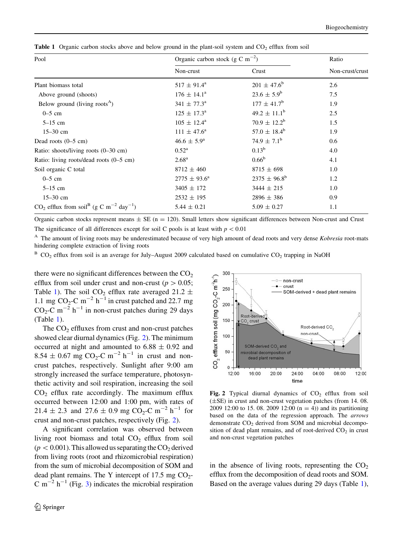| Pool                                                                          | Organic carbon stock (g C m <sup><math>-2</math></sup> ) | Ratio                   |                 |  |
|-------------------------------------------------------------------------------|----------------------------------------------------------|-------------------------|-----------------|--|
|                                                                               | Non-crust                                                | Crust                   | Non-crust/crust |  |
| Plant biomass total                                                           | $517 \pm 91.4^{\rm a}$                                   | $201 \pm 47.6^b$        | 2.6             |  |
| Above ground (shoots)                                                         | $176 \pm 14.1^{\circ}$                                   | $23.6 \pm 5.9^b$        | 7.5             |  |
| Below ground (living roots <sup><math>A</math></sup> )                        | $341 \pm 77.3^{\circ}$                                   | $177 \pm 41.7^{\rm b}$  | 1.9             |  |
| $0-5$ cm                                                                      | $125 \pm 17.3^{\circ}$                                   | $49.2 \pm 11.1^b$       | 2.5             |  |
| $5-15$ cm                                                                     | $105 \pm 12.4^{\rm a}$                                   | $70.9 \pm 12.2^{\rm b}$ | 1.5             |  |
| $15 - 30$ cm                                                                  | $111 \pm 47.6^{\circ}$                                   | $57.0 \pm 18.4^b$       | 1.9             |  |
| Dead roots $(0-5 \text{ cm})$                                                 | $46.6 \pm 5.9^{\rm a}$                                   | $74.9 \pm 7.1^{\rm b}$  | 0.6             |  |
| Ratio: shoots/living roots (0-30 cm)                                          | $0.52^{\rm a}$                                           | $0.13^{b}$              | 4.0             |  |
| Ratio: living roots/dead roots $(0-5 \text{ cm})$                             | $2.68^{\rm a}$                                           | $0.66^{b}$              | 4.1             |  |
| Soil organic C total                                                          | $8712 \pm 460$                                           | $8715 \pm 698$          | 1.0             |  |
| $0-5$ cm                                                                      | $2775 \pm 93.6^{\circ}$                                  | $2375 \pm 96.8^{\rm b}$ | 1.2             |  |
| $5-15$ cm                                                                     | $3405 \pm 172$                                           | $3444 \pm 215$          | 1.0             |  |
| $15 - 30$ cm                                                                  | $2532 \pm 195$                                           | $2896 \pm 386$          | 0.9             |  |
| $CO_2$ efflux from soil <sup>B</sup> (g C m <sup>-2</sup> day <sup>-1</sup> ) | $5.44 \pm 0.21$                                          | $5.09 \pm 0.27$         | 1.1             |  |

<span id="page-5-0"></span>**Table 1** Organic carbon stocks above and below ground in the plant-soil system and  $CO<sub>2</sub>$  efflux from soil

Organic carbon stocks represent means  $\pm$  SE (n = 120). Small letters show significant differences between Non-crust and Crust The significance of all differences except for soil C pools is at least with  $p < 0.01$ 

<sup>A</sup> The amount of living roots may be underestimated because of very high amount of dead roots and very dense Kobresia root-mats hindering complete extraction of living roots

 $B$  CO<sub>2</sub> efflux from soil is an average for July–August 2009 calculated based on cumulative CO<sub>2</sub> trapping in NaOH

there were no significant differences between the  $CO<sub>2</sub>$ efflux from soil under crust and non-crust ( $p > 0.05$ ; Table 1). The soil CO<sub>2</sub> efflux rate averaged 21.2  $\pm$ 1.1 mg  $CO<sub>2</sub>$  –  $m<sup>-2</sup> h<sup>-1</sup>$  in crust patched and 22.7 mg  $CO<sub>2</sub>-C$  m<sup>-2</sup> h<sup>-1</sup> in non-crust patches during 29 days (Table 1).

The  $CO<sub>2</sub>$  effluxes from crust and non-crust patches showed clear diurnal dynamics (Fig. 2). The minimum occurred at night and amounted to  $6.88 \pm 0.92$  and  $8.54 \pm 0.67$  mg CO<sub>2</sub>-C m<sup>-2</sup> h<sup>-1</sup> in crust and noncrust patches, respectively. Sunlight after 9:00 am strongly increased the surface temperature, photosynthetic activity and soil respiration, increasing the soil  $CO<sub>2</sub>$  efflux rate accordingly. The maximum efflux occurred between 12:00 and 1:00 pm, with rates of 21.4  $\pm$  2.3 and 27.6  $\pm$  0.9 mg CO<sub>2</sub>-C m<sup>-2</sup> h<sup>-1</sup> for crust and non-crust patches, respectively (Fig. 2).

A significant correlation was observed between living root biomass and total  $CO<sub>2</sub>$  efflux from soil  $(p<0.001)$ . This allowed us separating the CO<sub>2</sub> derived from living roots (root and rhizomicrobial respiration) from the sum of microbial decomposition of SOM and dead plant remains. The Y intercept of  $17.5 \text{ mg } CO_2$ -C m<sup>-2</sup> h<sup>-1</sup> (Fig. [3](#page-6-0)) indicates the microbial respiration



Fig. 2 Typical diurnal dynamics of  $CO<sub>2</sub>$  efflux from soil  $(\pm SE)$  in crust and non-crust vegetation patches (from 14.08. 2009 12:00 to 15, 08, 2009 12:00  $(n = 4)$  and its partitioning based on the data of the regression approach. The arrows demonstrate  $CO<sub>2</sub>$  derived from SOM and microbial decomposition of dead plant remains, and of root-derived  $CO<sub>2</sub>$  in crust and non-crust vegetation patches

in the absence of living roots, representing the  $CO<sub>2</sub>$ efflux from the decomposition of dead roots and SOM. Based on the average values during 29 days (Table 1),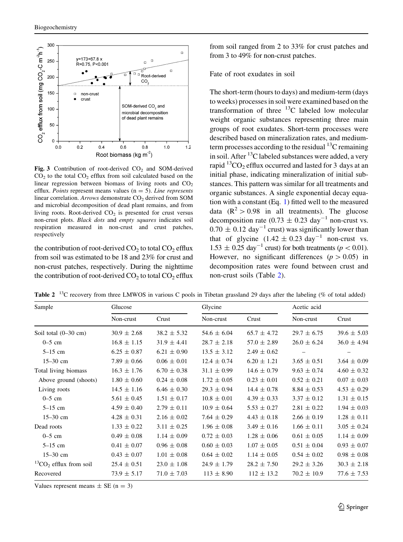<span id="page-6-0"></span>

Fig. 3 Contribution of root-derived  $CO<sub>2</sub>$  and SOM-derived  $CO<sub>2</sub>$  to the total  $CO<sub>2</sub>$  efflux from soil calculated based on the linear regression between biomass of living roots and  $CO<sub>2</sub>$ efflux. Points represent means values ( $n = 5$ ). Line represents linear correlation. Arrows demonstrate CO<sub>2</sub> derived from SOM and microbial decomposition of dead plant remains, and from living roots. Root-derived  $CO<sub>2</sub>$  is presented for crust versus non-crust plots. Black dots and empty squares indicates soil respiration measured in non-crust and crust patches, respectively

the contribution of root-derived  $CO<sub>2</sub>$  to total  $CO<sub>2</sub>$  efflux from soil was estimated to be 18 and 23% for crust and non-crust patches, respectively. During the nighttime the contribution of root-derived  $CO_2$  to total  $CO_2$  efflux from soil ranged from 2 to 33% for crust patches and from 3 to 49% for non-crust patches.

## Fate of root exudates in soil

The short-term (hours to days) and medium-term (days to weeks) processes in soil were examined based on the transformation of three  $^{13}$ C labeled low molecular weight organic substances representing three main groups of root exudates. Short-term processes were described based on mineralization rates, and mediumterm processes according to the residual  $^{13}$ C remaining in soil. After  $^{13}$ C labeled substances were added, a very rapid  ${}^{13}CO_2$  efflux occurred and lasted for 3 days at an initial phase, indicating mineralization of initial substances. This pattern was similar for all treatments and organic substances. A single exponential decay equation with a constant (Eq. [1\)](#page-4-0) fitted well to the measured data  $(R^2 > 0.98$  in all treatments). The glucose decomposition rate (0.73  $\pm$  0.23 day<sup>-1</sup> non-crust vs.  $0.70 \pm 0.12$  day<sup>-1</sup> crust) was significantly lower than that of glycine  $(1.42 \pm 0.23 \text{ day}^{-1})$  non-crust vs.  $1.53 \pm 0.25$  day<sup>-1</sup> crust) for both treatments ( $p < 0.01$ ). However, no significant differences  $(p > 0.05)$  in decomposition rates were found between crust and non-crust soils (Table 2).

Table 2 <sup>13</sup>C recovery from three LMWOS in various C pools in Tibetan grassland 29 days after the labeling (% of total added)

| Sample                         | Glucose         |                 | Glycine         |                 | Acetic acid     |                 |
|--------------------------------|-----------------|-----------------|-----------------|-----------------|-----------------|-----------------|
|                                | Non-crust       | Crust           | Non-crust       | Crust           | Non-crust       | Crust           |
| Soil total $(0-30$ cm)         | $30.9 \pm 2.68$ | $38.2 \pm 5.32$ | $54.6 \pm 6.04$ | $65.7 \pm 4.72$ | $29.7 \pm 6.75$ | $39.6 \pm 5.03$ |
| $0-5$ cm                       | $16.8 \pm 1.15$ | $31.9 \pm 4.41$ | $28.7 \pm 2.18$ | $57.0 \pm 2.89$ | $26.0 \pm 6.24$ | $36.0 \pm 4.94$ |
| $5-15$ cm                      | $6.25 \pm 0.87$ | $6.21 \pm 0.90$ | $13.5 \pm 3.12$ | $2.49 \pm 0.62$ |                 |                 |
| $15 - 30$ cm                   | $7.89 \pm 0.66$ | $0.06 \pm 0.01$ | $12.4 \pm 0.74$ | $6.20 \pm 1.21$ | $3.65 \pm 0.51$ | $3.64 \pm 0.09$ |
| Total living biomass           | $16.3 \pm 1.76$ | $6.70 \pm 0.38$ | $31.1 \pm 0.99$ | $14.6 \pm 0.79$ | $9.63 \pm 0.74$ | $4.60 \pm 0.32$ |
| Above ground (shoots)          | $1.80 \pm 0.60$ | $0.24 \pm 0.08$ | $1.72 \pm 0.05$ | $0.23 \pm 0.01$ | $0.52 \pm 0.21$ | $0.07 \pm 0.03$ |
| Living roots                   | $14.5 \pm 1.16$ | $6.46 \pm 0.30$ | $29.3 \pm 0.94$ | $14.4 \pm 0.78$ | $8.84 \pm 0.53$ | $4.53 \pm 0.29$ |
| $0-5$ cm                       | $5.61 \pm 0.45$ | $1.51 \pm 0.17$ | $10.8 \pm 0.01$ | $4.39 \pm 0.33$ | $3.37 \pm 0.12$ | $1.31 \pm 0.15$ |
| $5-15$ cm                      | $4.59 \pm 0.40$ | $2.79 \pm 0.11$ | $10.9 \pm 0.64$ | $5.53 \pm 0.27$ | $2.81 \pm 0.22$ | $1.94 \pm 0.03$ |
| $15 - 30$ cm                   | $4.28 \pm 0.31$ | $2.16 \pm 0.02$ | $7.64 \pm 0.29$ | $4.43 \pm 0.18$ | $2.66 \pm 0.19$ | $1.28 \pm 0.11$ |
| Dead roots                     | $1.33 \pm 0.22$ | $3.11 \pm 0.25$ | $1.96 \pm 0.08$ | $3.49 \pm 0.16$ | $1.66 \pm 0.11$ | $3.05 \pm 0.24$ |
| $0-5$ cm                       | $0.49 \pm 0.08$ | $1.14 \pm 0.09$ | $0.72 \pm 0.03$ | $1.28 \pm 0.06$ | $0.61 \pm 0.05$ | $1.14 \pm 0.09$ |
| $5-15$ cm                      | $0.41 \pm 0.07$ | $0.96 \pm 0.08$ | $0.60 \pm 0.03$ | $1.07 \pm 0.05$ | $0.51 \pm 0.04$ | $0.93 \pm 0.07$ |
| $15 - 30$ cm                   | $0.43 \pm 0.07$ | $1.01 \pm 0.08$ | $0.64 \pm 0.02$ | $1.14 \pm 0.05$ | $0.54 \pm 0.02$ | $0.98 \pm 0.08$ |
| ${}^{13}CO_2$ efflux from soil | $25.4 \pm 0.51$ | $23.0 \pm 1.08$ | $24.9 \pm 1.79$ | $28.2 \pm 7.50$ | $29.2 \pm 3.26$ | $30.3 \pm 2.18$ |
| Recovered                      | $73.9 \pm 5.17$ | $71.0 \pm 7.03$ | $113 \pm 8.90$  | $112 \pm 13.2$  | $70.2 \pm 10.9$ | $77.6 \pm 7.53$ |

Values represent means  $\pm$  SE (n = 3)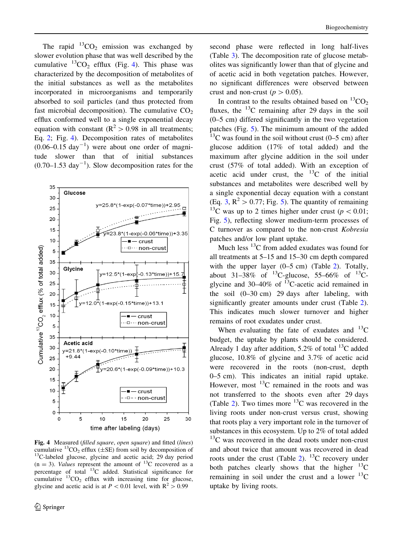<span id="page-7-0"></span>The rapid  ${}^{13}CO_2$  emission was exchanged by slower evolution phase that was well described by the cumulative  ${}^{13}CO_2$  efflux (Fig. 4). This phase was characterized by the decomposition of metabolites of the initial substances as well as the metabolites incorporated in microorganisms and temporarily absorbed to soil particles (and thus protected from fast microbial decomposition). The cumulative  $CO<sub>2</sub>$ efflux conformed well to a single exponential decay equation with constant ( $R^2 > 0.98$  in all treatments; Eq. [2;](#page-4-0) Fig. 4). Decomposition rates of metabolites  $(0.06-0.15 \text{ day}^{-1})$  were about one order of magnitude slower than that of initial substances  $(0.70-1.53 \text{ day}^{-1})$ . Slow decomposition rates for the



**Fig. 4** Measured (filled square, open square) and fitted (lines) cumulative <sup>13</sup>CO<sub>2</sub> efflux ( $\pm$ SE) from soil by decomposition of  $13C$ -labeled glucose, glycine and acetic acid; 29 day period  $(n = 3)$ . Values represent the amount of <sup>13</sup>C recovered as a percentage of total  $^{13}$ C added. Statistical significance for cumulative  ${}^{13}CO_2$  efflux with increasing time for glucose, glycine and acetic acid is at  $P < 0.01$  level, with  $R^2 > 0.99$ 

second phase were reflected in long half-lives (Table [3](#page-8-0)). The decomposition rate of glucose metabolites was significantly lower than that of glycine and of acetic acid in both vegetation patches. However, no significant differences were observed between crust and non-crust ( $p > 0.05$ ).

In contrast to the results obtained based on  ${}^{13}CO_2$ fluxes, the  $^{13}$ C remaining after 29 days in the soil (0–5 cm) differed significantly in the two vegetation patches (Fig. [5\)](#page-8-0). The minimum amount of the added  $13^{\circ}$ C was found in the soil without crust (0–5 cm) after glucose addition (17% of total added) and the maximum after glycine addition in the soil under crust (57% of total added). With an exception of acetic acid under crust, the  $^{13}$ C of the initial substances and metabolites were described well by a single exponential decay equation with a constant (Eq. [3](#page-4-0),  $\mathbb{R}^2$  > 0.77; Fig. [5](#page-8-0)). The quantity of remaining <sup>13</sup>C was up to 2 times higher under crust ( $p < 0.01$ ; Fig. [5\)](#page-8-0), reflecting slower medium-term processes of C turnover as compared to the non-crust Kobresia patches and/or low plant uptake.

Much less  $^{13}$ C from added exudates was found for all treatments at 5–15 and 15–30 cm depth compared with the upper layer (0–5 cm) (Table [2](#page-6-0)). Totally, about 31–38% of  $^{13}$ C-glucose, 55–66% of  $^{13}$ Cglycine and 30–40% of  $^{13}$ C-acetic acid remained in the soil (0–30 cm) 29 days after labeling, with significantly greater amounts under crust (Table [2](#page-6-0)). This indicates much slower turnover and higher remains of root exudates under crust.

When evaluating the fate of exudates and  $^{13}$ C budget, the uptake by plants should be considered. Already 1 day after addition,  $5.2\%$  of total <sup>13</sup>C added glucose, 10.8% of glycine and 3.7% of acetic acid were recovered in the roots (non-crust, depth 0–5 cm). This indicates an initial rapid uptake. However, most  $^{13}$ C remained in the roots and was not transferred to the shoots even after 29 days (Table [2](#page-6-0)). Two times more  $^{13}$ C was recovered in the living roots under non-crust versus crust, showing that roots play a very important role in the turnover of substances in this ecosystem. Up to 2% of total added  $13<sup>C</sup>$  was recovered in the dead roots under non-crust and about twice that amount was recovered in dead roots under the crust (Table [2](#page-6-0)).  $^{13}$ C recovery under both patches clearly shows that the higher  $^{13}$ C remaining in soil under the crust and a lower  $^{13}$ C uptake by living roots.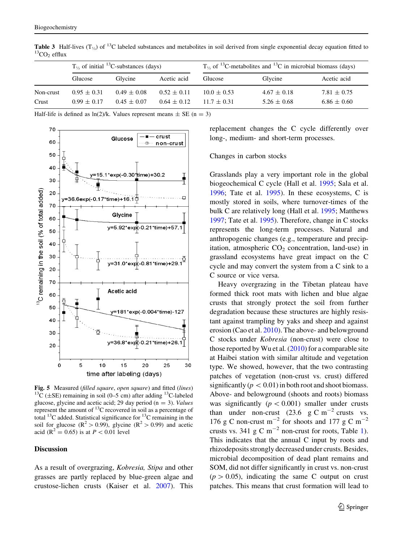|           | $T_{\frac{1}{2}}$ of initial <sup>13</sup> C-substances (days) |                 |                 | $T_{\frac{1}{2}}$ of <sup>13</sup> C-metabolites and <sup>13</sup> C in microbial biomass (days) |                 |                 |  |
|-----------|----------------------------------------------------------------|-----------------|-----------------|--------------------------------------------------------------------------------------------------|-----------------|-----------------|--|
|           | Glucose                                                        | Glycine         | Acetic acid     | Glucose                                                                                          | Glycine         | Acetic acid     |  |
| Non-crust | $0.95 \pm 0.31$                                                | $0.49 \pm 0.08$ | $0.52 \pm 0.11$ | $10.0 \pm 0.53$                                                                                  | $4.67 \pm 0.18$ | $7.81 \pm 0.75$ |  |
| Crust     | $0.99 \pm 0.17$                                                | $0.45 \pm 0.07$ | $0.64 \pm 0.12$ | $11.7 + 0.31$                                                                                    | $5.26 \pm 0.68$ | $6.86 \pm 0.60$ |  |

<span id="page-8-0"></span>**Table 3** Half-lives  $(T_{\frac{1}{2}})$  of <sup>13</sup>C labeled substances and metabolites in soil derived from single exponential decay equation fitted to <sup>13</sup>CO<sub>2</sub> efflux

Half-life is defined as  $ln(2)/k$ . Values represent means  $\pm$  SE (n = 3)



**Fig. 5** Measured (filled square, open square) and fitted (lines)  $^{13}C$  ( $\pm$ SE) remaining in soil (0–5 cm) after adding <sup>13</sup>C-labeled glucose, glycine and acetic acid; 29 day period ( $n = 3$ ). Values represent the amount of  $^{13}$ C recovered in soil as a percentage of total  $^{13}$ C added. Statistical significance for  $^{13}$ C remaining in the soil for glucose  $(\mathbb{R}^2 > 0.99)$ , glycine  $(\mathbb{R}^2 > 0.99)$  and acetic acid ( $R^2 = 0.65$ ) is at  $P < 0.01$  level

## **Discussion**

As a result of overgrazing, Kobresia, Stipa and other grasses are partly replaced by blue-green algae and crustose-lichen crusts (Kaiser et al. [2007\)](#page-12-0). This replacement changes the C cycle differently over long-, medium- and short-term processes.

### Changes in carbon stocks

Grasslands play a very important role in the global biogeochemical C cycle (Hall et al. [1995](#page-12-0); Sala et al. [1996;](#page-13-0) Tate et al. [1995](#page-13-0)). In these ecosystems, C is mostly stored in soils, where turnover-times of the bulk C are relatively long (Hall et al. [1995;](#page-12-0) Matthews [1997;](#page-13-0) Tate et al. [1995](#page-13-0)). Therefore, change in C stocks represents the long-term processes. Natural and anthropogenic changes (e.g., temperature and precipitation, atmospheric  $CO<sub>2</sub>$  concentration, land-use) in grassland ecosystems have great impact on the C cycle and may convert the system from a C sink to a C source or vice versa.

Heavy overgrazing in the Tibetan plateau have formed thick root mats with lichen and blue algae crusts that strongly protect the soil from further degradation because these structures are highly resistant against trampling by yaks and sheep and against erosion (Cao et al. [2010\)](#page-12-0). The above- and belowground C stocks under Kobresia (non-crust) were close to those reported by Wu et al.  $(2010)$  $(2010)$  for a comparable site at Haibei station with similar altitude and vegetation type. We showed, however, that the two contrasting patches of vegetation (non-crust vs. crust) differed significantly ( $p < 0.01$ ) in both root and shoot biomass. Above- and belowground (shoots and roots) biomass was significantly  $(p < 0.001)$  smaller under crusts than under non-crust (23.6 g C m<sup>-2</sup> crusts vs. 176 g C non-crust  $m^{-2}$  for shoots and 177 g C  $m^{-2}$ crusts vs. 34[1](#page-5-0) g C  $m^{-2}$  non-crust for roots, Table 1). This indicates that the annual C input by roots and rhizodeposits strongly decreased under crusts. Besides, microbial decomposition of dead plant remains and SOM, did not differ significantly in crust vs. non-crust  $(p > 0.05)$ , indicating the same C output on crust patches. This means that crust formation will lead to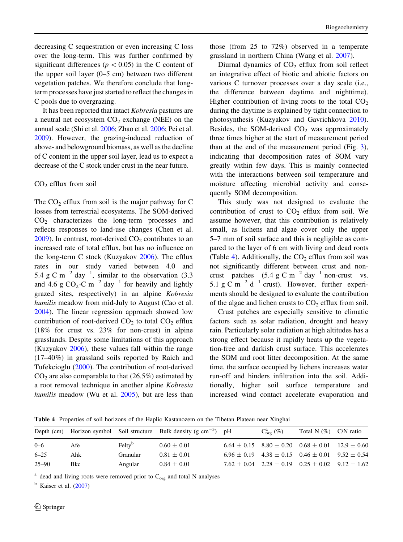decreasing C sequestration or even increasing C loss over the long-term. This was further confirmed by significant differences ( $p < 0.05$ ) in the C content of the upper soil layer (0–5 cm) between two different vegetation patches. We therefore conclude that longterm processes have just started to reflect the changes in C pools due to overgrazing.

It has been reported that intact Kobresia pastures are a neutral net ecosystem  $CO<sub>2</sub>$  exchange (NEE) on the annual scale (Shi et al. [2006;](#page-13-0) Zhao et al. [2006;](#page-14-0) Pei et al. [2009](#page-13-0)). However, the grazing-induced reduction of above- and belowground biomass, as well as the decline of C content in the upper soil layer, lead us to expect a decrease of the C stock under crust in the near future.

## $CO<sub>2</sub>$  efflux from soil

The  $CO<sub>2</sub>$  efflux from soil is the major pathway for C losses from terrestrial ecosystems. The SOM-derived  $CO<sub>2</sub>$  characterizes the long-term processes and reflects responses to land-use changes (Chen et al.  $2009$ ). In contrast, root-derived  $CO<sub>2</sub>$  contributes to an increased rate of total efflux, but has no influence on the long-term C stock (Kuzyakov [2006\)](#page-13-0). The efflux rates in our study varied between 4.0 and 5.4 g C m<sup>-2</sup> day<sup>-1</sup>, similar to the observation (3.3) and 4.6 g  $CO_2$ -C m<sup>-2</sup> day<sup>-1</sup> for heavily and lightly grazed sites, respectively) in an alpine Kobresia humilis meadow from mid-July to August (Cao et al. [2004\)](#page-12-0). The linear regression approach showed low contribution of root-derived  $CO<sub>2</sub>$  to total  $CO<sub>2</sub>$  efflux (18% for crust vs. 23% for non-crust) in alpine grasslands. Despite some limitations of this approach (Kuzyakov  $2006$ ), these values fall within the range (17–40%) in grassland soils reported by Raich and Tufekcioglu [\(2000](#page-13-0)). The contribution of root-derived  $CO<sub>2</sub>$  are also comparable to that (26.5%) estimated by a root removal technique in another alpine Kobresia humilis meadow (Wu et al. [2005\)](#page-13-0), but are less than those (from 25 to 72%) observed in a temperate grassland in northern China (Wang et al. [2007\)](#page-13-0).

Diurnal dynamics of  $CO<sub>2</sub>$  efflux from soil reflect an integrative effect of biotic and abiotic factors on various C turnover processes over a day scale (i.e., the difference between daytime and nighttime). Higher contribution of living roots to the total  $CO<sub>2</sub>$ during the daytime is explained by tight connection to photosynthesis (Kuzyakov and Gavrichkova [2010](#page-13-0)). Besides, the SOM-derived  $CO<sub>2</sub>$  was approximately three times higher at the start of measurement period than at the end of the measurement period (Fig. [3](#page-6-0)), indicating that decomposition rates of SOM vary greatly within few days. This is mainly connected with the interactions between soil temperature and moisture affecting microbial activity and consequently SOM decomposition.

This study was not designed to evaluate the contribution of crust to  $CO<sub>2</sub>$  efflux from soil. We assume however, that this contribution is relatively small, as lichens and algae cover only the upper 5–7 mm of soil surface and this is negligible as compared to the layer of 6 cm with living and dead roots (Table 4). Additionally, the  $CO<sub>2</sub>$  efflux from soil was not significantly different between crust and noncrust patches  $(5.4 \text{ g C m}^{-2} \text{ day}^{-1} \text{ non-crust}$  vs. 5.1 g C m<sup>-2</sup> d<sup>-1</sup> crust). However, further experiments should be designed to evaluate the contribution of the algae and lichen crusts to  $CO<sub>2</sub>$  efflux from soil.

Crust patches are especially sensitive to climatic factors such as solar radiation, drought and heavy rain. Particularly solar radiation at high altitudes has a strong effect because it rapidly heats up the vegetation-free and darkish crust surface. This accelerates the SOM and root litter decomposition. At the same time, the surface occupied by lichens increases water run-off and hinders infiltration into the soil. Additionally, higher soil surface temperature and increased wind contact accelerate evaporation and

Table 4 Properties of soil horizons of the Haplic Kastanozem on the Tibetan Plateau near Xinghai

|             |           |                 | $C^a_{\text{or}}(\%)$                                                          |                                                                                                                                                                                                                                   |
|-------------|-----------|-----------------|--------------------------------------------------------------------------------|-----------------------------------------------------------------------------------------------------------------------------------------------------------------------------------------------------------------------------------|
| Afe         | $Feltv^b$ | $0.60 \pm 0.01$ |                                                                                |                                                                                                                                                                                                                                   |
| Ahk         | Granular  | $0.81 \pm 0.01$ |                                                                                |                                                                                                                                                                                                                                   |
| <b>B</b> kc | Angular   | $0.84 \pm 0.01$ |                                                                                |                                                                                                                                                                                                                                   |
|             |           |                 | Depth (cm) Horizon symbol Soil structure Bulk density (g cm <sup>-3</sup> ) pH | Total N $(\%)$ C/N ratio<br>$6.64 \pm 0.15$ $8.80 \pm 0.20$ $0.68 \pm 0.01$ $12.9 \pm 0.60$<br>$6.96 \pm 0.19$ $4.38 \pm 0.15$ $0.46 \pm 0.01$ $9.52 \pm 0.54$<br>$7.62 \pm 0.04$ $2.28 \pm 0.19$ $0.25 \pm 0.02$ $9.12 \pm 1.62$ |

dead and living roots were removed prior to  $C_{org}$  and total N analyses

 $<sup>b</sup>$  Kaiser et al. [\(2007\)](#page-12-0)</sup>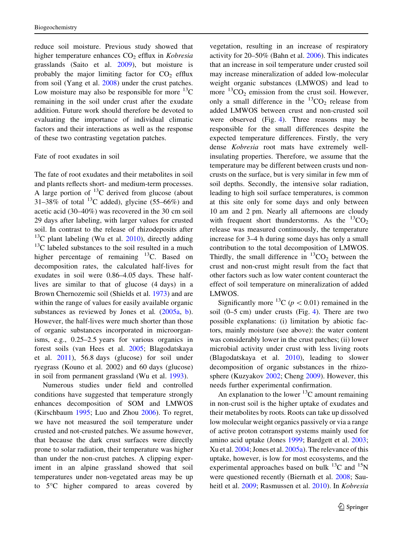reduce soil moisture. Previous study showed that higher temperature enhances  $CO<sub>2</sub>$  efflux in Kobresia grasslands (Saito et al. [2009](#page-13-0)), but moisture is probably the major limiting factor for  $CO<sub>2</sub>$  efflux from soil (Yang et al. [2008\)](#page-14-0) under the crust patches. Low moisture may also be responsible for more  ${}^{13}C$ remaining in the soil under crust after the exudate addition. Future work should therefore be devoted to evaluating the importance of individual climatic factors and their interactions as well as the response of these two contrasting vegetation patches.

## Fate of root exudates in soil

The fate of root exudates and their metabolites in soil and plants reflects short- and medium-term processes. A large portion of  $^{13}$ C derived from glucose (about 31–38% of total <sup>13</sup>C added), glycine (55–66%) and acetic acid (30–40%) was recovered in the 30 cm soil 29 days after labeling, with larger values for crusted soil. In contrast to the release of rhizodeposits after  $13^{\circ}$ C plant labeling (Wu et al. [2010\)](#page-13-0), directly adding  $13<sup>13</sup>C$  labeled substances to the soil resulted in a much higher percentage of remaining  $^{13}$ C. Based on decomposition rates, the calculated half-lives for exudates in soil were 0.86–4.05 days. These halflives are similar to that of glucose (4 days) in a Brown Chernozemic soil (Shields et al. [1973\)](#page-13-0) and are within the range of values for easily available organic substances as reviewed by Jones et al. ([2005a](#page-12-0), [b](#page-12-0)). However, the half-lives were much shorter than those of organic substances incorporated in microorganisms, e.g., 0.25–2.5 years for various organics in forest soils (van Hees et al. [2005](#page-13-0); Blagodatskaya et al. [2011](#page-12-0)), 56.8 days (glucose) for soil under ryegrass (Kouno et al. 2002) and 60 days (glucose) in soil from permanent grassland (Wu et al. [1993\)](#page-13-0).

Numerous studies under field and controlled conditions have suggested that temperature strongly enhances decomposition of SOM and LMWOS (Kirschbaum [1995;](#page-12-0) Luo and Zhou [2006\)](#page-13-0). To regret, we have not measured the soil temperature under crusted and not-crusted patches. We assume however, that because the dark crust surfaces were directly prone to solar radiation, their temperature was higher than under the non-crust patches. A clipping experiment in an alpine grassland showed that soil temperatures under non-vegetated areas may be up to 5C higher compared to areas covered by

vegetation, resulting in an increase of respiratory activity for 20–50% (Bahn et al. [2006](#page-12-0)). This indicates that an increase in soil temperature under crusted soil may increase mineralization of added low-molecular weight organic substances (LMWOS) and lead to more  ${}^{13}CO_2$  emission from the crust soil. However, only a small difference in the  ${}^{13}CO_2$  release from added LMWOS between crust and non-crusted soil were observed (Fig. [4](#page-7-0)). Three reasons may be responsible for the small differences despite the expected temperature differences. Firstly, the very dense Kobresia root mats have extremely wellinsulating properties. Therefore, we assume that the temperature may be different between crusts und noncrusts on the surface, but is very similar in few mm of soil depths. Secondly, the intensive solar radiation, leading to high soil surface temperatures, is common at this site only for some days and only between 10 am and 2 pm. Nearly all afternoons are cloudy with frequent short thunderstorms. As the  ${}^{13}CO_2$ release was measured continuously, the temperature increase for 3–4 h during some days has only a small contribution to the total decomposition of LMWOS. Thirdly, the small difference in  ${}^{13}CO_2$  between the crust and non-crust might result from the fact that other factors such as low water content counteract the effect of soil temperature on mineralization of added LMWOS.

Significantly more <sup>13</sup>C ( $p < 0.01$ ) remained in the soil (0–5 cm) under crusts (Fig. [4](#page-7-0)). There are two possible explanations: (i) limitation by abiotic factors, mainly moisture (see above): the water content was considerably lower in the crust patches; (ii) lower microbial activity under crust with less living roots (Blagodatskaya et al. [2010](#page-12-0)), leading to slower decomposition of organic substances in the rhizosphere (Kuzyakov [2002;](#page-13-0) Cheng [2009](#page-12-0)). However, this needs further experimental confirmation.

An explanation to the lower  ${}^{13}C$  amount remaining in non-crust soil is the higher uptake of exudates and their metabolites by roots. Roots can take up dissolved low molecular weight organics passively or via a range of active proton cotransport systems mainly used for amino acid uptake (Jones [1999](#page-12-0); Bardgett et al. [2003](#page-12-0); Xu et al. [2004;](#page-13-0) Jones et al. [2005a](#page-12-0)). The relevance of this uptake, however, is low for most ecosystems, and the experimental approaches based on bulk  $^{13}$ C and  $^{15}$ N were questioned recently (Biernath et al. [2008;](#page-12-0) Sauheitl et al. [2009](#page-13-0); Rasmussen et al. [2010](#page-13-0)). In Kobresia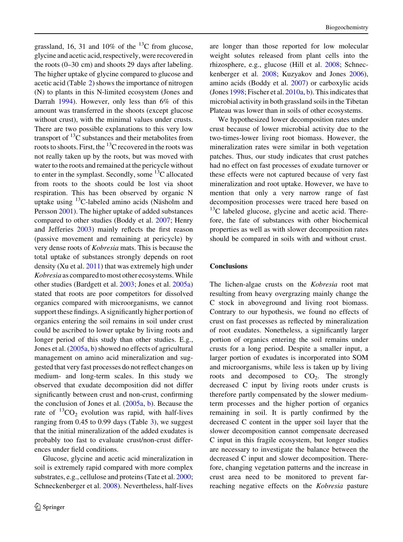grassland, 16, 31 and 10% of the  $^{13}$ C from glucose, glycine and acetic acid, respectively, were recovered in the roots (0–30 cm) and shoots 29 days after labeling. The higher uptake of glycine compared to glucose and acetic acid (Table [2](#page-6-0)) shows the importance of nitrogen (N) to plants in this N-limited ecosystem (Jones and Darrah [1994](#page-12-0)). However, only less than 6% of this amount was transferred in the shoots (except glucose without crust), with the minimal values under crusts. There are two possible explanations to this very low transport of  ${}^{13}C$  substances and their metabolites from roots to shoots. First, the  $^{13}$ C recovered in the roots was not really taken up by the roots, but was moved with water to the roots and remained at the pericycle without to enter in the symplast. Secondly, some  $^{13}$ C allocated from roots to the shoots could be lost via shoot respiration. This has been observed by organic N uptake using  $^{13}$ C-labeled amino acids (Näsholm and Persson [2001\)](#page-13-0). The higher uptake of added substances compared to other studies (Boddy et al. [2007](#page-12-0); Henry and Jefferies [2003\)](#page-12-0) mainly reflects the first reason (passive movement and remaining at pericycle) by very dense roots of Kobresia mats. This is because the total uptake of substances strongly depends on root density (Xu et al. [2011\)](#page-13-0) that was extremely high under Kobresia as compared to most other ecosystems. While other studies (Bardgett et al. [2003](#page-12-0); Jones et al. [2005a\)](#page-12-0) stated that roots are poor competitors for dissolved organics compared with microorganisms, we cannot support these findings. A significantly higher portion of organics entering the soil remains in soil under crust could be ascribed to lower uptake by living roots and longer period of this study than other studies. E.g., Jones et al. ([2005a](#page-12-0), [b](#page-12-0)) showed no effects of agricultural management on amino acid mineralization and suggested that very fast processes do not reflect changes on medium- and long-term scales. In this study we observed that exudate decomposition did not differ significantly between crust and non-crust, confirming the conclusion of Jones et al. [\(2005a,](#page-12-0) [b](#page-12-0)). Because the rate of  ${}^{13}CO_2$  evolution was rapid, with half-lives ranging from 0.45 to 0.99 days (Table [3](#page-8-0)), we suggest that the initial mineralization of the added exudates is probably too fast to evaluate crust/non-crust differences under field conditions.

Glucose, glycine and acetic acid mineralization in soil is extremely rapid compared with more complex substrates, e.g., cellulose and proteins (Tate et al. [2000](#page-13-0); Schneckenberger et al. [2008\)](#page-13-0). Nevertheless, half-lives

are longer than those reported for low molecular weight solutes released from plant cells into the rhizosphere, e.g., glucose (Hill et al. [2008](#page-12-0); Schneckenberger et al. [2008;](#page-13-0) Kuzyakov and Jones [2006](#page-13-0)), amino acids (Boddy et al. [2007](#page-12-0)) or carboxylic acids (Jones [1998;](#page-12-0) Fischer et al. [2010a](#page-12-0), [b](#page-12-0)). This indicates that microbial activity in both grassland soils in the Tibetan Plateau was lower than in soils of other ecosystems.

We hypothesized lower decomposition rates under crust because of lower microbial activity due to the two-times-lower living root biomass. However, the mineralization rates were similar in both vegetation patches. Thus, our study indicates that crust patches had no effect on fast processes of exudate turnover or these effects were not captured because of very fast mineralization and root uptake. However, we have to mention that only a very narrow range of fast decomposition processes were traced here based on  $13^{\circ}$ C labeled glucose, glycine and acetic acid. Therefore, the fate of substances with other biochemical properties as well as with slower decomposition rates should be compared in soils with and without crust.

## **Conclusions**

The lichen-algae crusts on the Kobresia root mat resulting from heavy overgrazing mainly change the C stock in aboveground and living root biomass. Contrary to our hypothesis, we found no effects of crust on fast processes as reflected by mineralization of root exudates. Nonetheless, a significantly larger portion of organics entering the soil remains under crusts for a long period. Despite a smaller input, a larger portion of exudates is incorporated into SOM and microorganisms, while less is taken up by living roots and decomposed to  $CO<sub>2</sub>$ . The strongly decreased C input by living roots under crusts is therefore partly compensated by the slower mediumterm processes and the higher portion of organics remaining in soil. It is partly confirmed by the decreased C content in the upper soil layer that the slower decomposition cannot compensate decreased C input in this fragile ecosystem, but longer studies are necessary to investigate the balance between the decreased C input and slower decomposition. Therefore, changing vegetation patterns and the increase in crust area need to be monitored to prevent farreaching negative effects on the Kobresia pasture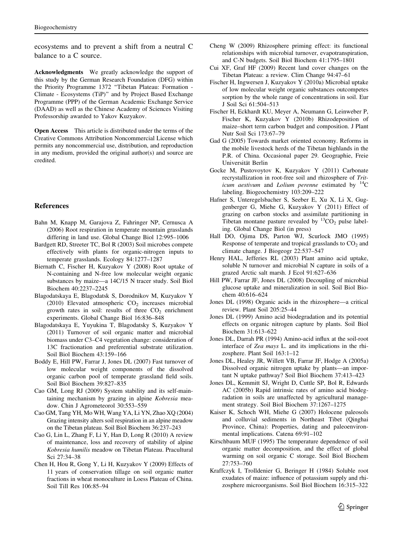<span id="page-12-0"></span>ecosystems and to prevent a shift from a neutral C balance to a C source.

Acknowledgments We greatly acknowledge the support of this study by the German Research Foundation (DFG) within the Priority Programme 1372 "Tibetan Plateau: Formation -Climate - Ecosystems (TiP)'' and by Project Based Exchange Programme (PPP) of the German Academic Exchange Service (DAAD) as well as the Chinese Academy of Sciences Visiting Professorship awarded to Yakov Kuzyakov.

Open Access This article is distributed under the terms of the Creative Commons Attribution Noncommercial License which permits any noncommercial use, distribution, and reproduction in any medium, provided the original author(s) and source are credited.

## References

- Bahn M, Knapp M, Garajova Z, Fahringer NP, Cernusca A (2006) Root respiration in temperate mountain grasslands differing in land use. Global Change Biol 12:995–1006
- Bardgett RD, Streeter TC, Bol R (2003) Soil microbes compete effectively with plants for organic-nitrogen inputs to temperate grasslands. Ecology 84:1277–1287
- Biernath C, Fischer H, Kuzyakov Y (2008) Root uptake of N-containing and N-free low molecular weight organic substances by maize—a 14C/15 N tracer study. Soil Biol Biochem 40:2237–2245
- Blagodatskaya E, Blagodatsk S, Dorodnikov M, Kuzyakov Y (2010) Elevated atmospheric  $CO<sub>2</sub>$  increases microbial growth rates in soil: results of three  $CO<sub>2</sub>$  enrichment experiments. Global Change Biol 16:836–848
- Blagodatskaya E, Yuyukina T, Blagodatsky S, Kuzyakov Y (2011) Turnover of soil organic matter and microbial biomass under C3–C4 vegetation change: consideration of 13C fractionation and preferential substrate utilization. Soil Biol Biochem 43:159–166
- Boddy E, Hill PW, Farrar J, Jones DL (2007) Fast turnover of low molecular weight components of the dissolved organic carbon pool of temperate grassland field soils. Soil Biol Biochem 39:827–835
- Cao GM, Long RJ (2009) System stability and its self-maintaining mechanism by grazing in alpine Kobresia meadow. Chin J Agrometeorol 30:553–559
- Cao GM, Tang YH, Mo WH, Wang YA, Li YN, Zhao XQ (2004) Grazing intensity alters soil respiration in an alpine meadow on the Tibetan plateau. Soil Biol Biochem 36:237–243
- Cao G, Lin L, Zhang F, Li Y, Han D, Long R (2010) A review of maintenance, loss and recovery of stability of alpine Kobresia humilis meadow on Tibetan Plateau. Pracultural Sci 27:34–38
- Chen H, Hou R, Gong Y, Li H, Kuzyakov Y (2009) Effects of 11 years of conservation tillage on soil organic matter fractions in wheat monoculture in Loess Plateau of China. Soil Till Res 106:85–94
- Cheng W (2009) Rhizosphere priming effect: its functional relationships with microbial turnover, evapotranspiration, and C-N budgets. Soil Biol Biochem 41:1795–1801
- Cui XF, Graf HF (2009) Recent land cover changes on the Tibetan Plateau: a review. Clim Change 94:47–61
- Fischer H, Ingwersen J, Kuzyakov Y (2010a) Microbial uptake of low molecular weight organic substances outcompetes sorption by the whole range of concentrations in soil. Eur J Soil Sci 61:504–513
- Fischer H, Eckhardt KU, Meyer A, Neumann G, Leinweber P, Fischer K, Kuzyakov Y (2010b) Rhizodeposition of maize–short term carbon budget and composition. J Plant Nutr Soil Sci 173:67–79
- Gad G (2005) Towards market oriented economy. Reforms in the mobile livestock herds of the Tibetan highlands in the P.R. of China. Occasional paper 29. Geographie, Freie Universität Berlin
- Gocke M, Pustovoytov K, Kuzyakov Y (2011) Carbonate recrystallization in root-free soil and rhizosphere of Triticum aestivum and Lolium perenne estimated by  ${}^{14}C$ labeling. Biogeochemistry 103:209–222
- Hafner S, Unteregelsbacher S, Seeber E, Xu X, Li X, Guggenberger G, Miehe G, Kuzyakov Y (2011) Effect of grazing on carbon stocks and assimilate partitioning in Tibetan montane pasture revealed by  ${}^{13}CO_2$  pulse labeling. Global Change Biol (in press)
- Hall DO, Ojima DS, Parton WJ, Scurlock JMO (1995) Response of temperate and tropical grasslands to  $CO<sub>2</sub>$  and climate change. J Biogeogr 22:537–547
- Henry HAL, Jefferies RL (2003) Plant amino acid uptake, soluble N turnover and microbial N capture in soils of a grazed Arctic salt marsh. J Ecol 91:627–636
- Hill PW, Farrar JF, Jones DL (2008) Decoupling of microbial glucose uptake and mineralization in soil. Soil Biol Biochem 40:616–624
- Jones DL (1998) Organic acids in the rhizosphere—a critical review. Plant Soil 205:25–44
- Jones DL (1999) Amino acid biodegradation and its potential effects on organic nitrogen capture by plants. Soil Biol Biochem 31:613–622
- Jones DL, Darrah PR (1994) Amino-acid influx at the soil-root interface of Zea mays L. and its implications in the rhizosphere. Plant Soil 163:1–12
- Jones DL, Healey JR, Willett VB, Farrar JF, Hodge A (2005a) Dissolved organic nitrogen uptake by plants—an important N uptake pathway? Soil Biol Biochem 37:413–423
- Jones DL, Kemmitt SJ, Wright D, Cuttle SP, Bol R, Edwards AC (2005b) Rapid intrinsic rates of amino acid biodegradation in soils are unaffected by agricultural management strategy. Soil Biol Biochem 37:1267–1275
- Kaiser K, Schoch WH, Miehe G (2007) Holocene paleosols and colluvial sediments in Northeast Tibet (Qinghai Province, China): Properties, dating and paleoenvironmental implications. Catena 69:91–102
- Kirschbaum MUF (1995) The temperature dependence of soil organic matter decomposition, and the effect of global warming on soil organic C storage. Soil Biol Biochem 27:753–760
- Kraffczyk I, Trolldenier G, Beringer H (1984) Soluble root exudates of maize: influence of potassium supply and rhizosphere microorganisms. Soil Biol Biochem 16:315–322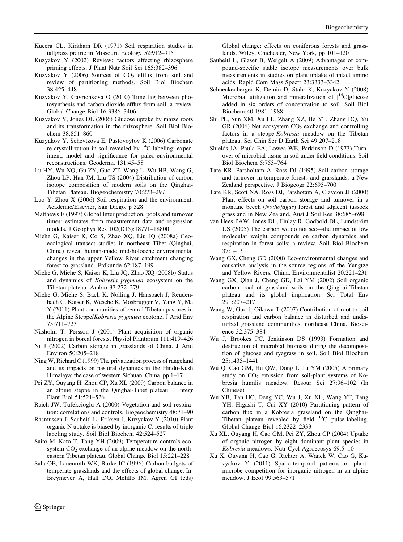- <span id="page-13-0"></span>Kucera CL, Kirkham DR (1971) Soil respiration studies in tallgrass prairie in Missouri. Ecology 52:912–915
- Kuzyakov Y (2002) Review: factors affecting rhizosphere priming effects. J Plant Nutr Soil Sci 165:382–396
- Kuzyakov Y (2006) Sources of  $CO<sub>2</sub>$  efflux from soil and review of partitioning methods. Soil Biol Biochem 38:425–448
- Kuzyakov Y, Gavrichkova O (2010) Time lag between photosynthesis and carbon dioxide efflux from soil: a review. Global Change Biol 16:3386–3406
- Kuzyakov Y, Jones DL (2006) Glucose uptake by maize roots and its transformation in the rhizosphere. Soil Biol Biochem 38:851–860
- Kuzyakov Y, Schevtzova E, Pustovoytov K (2006) Carbonate re-crystallization in soil revealed by  $^{14}$ C labeling: experiment, model and significance for paleo-environmental reconstructions. Geoderma 131:45–58
- Lu HY, Wu NQ, Gu ZY, Guo ZT, Wang L, Wu HB, Wang G, Zhou LP, Han JM, Liu TS (2004) Distribution of carbon isotope composition of modern soils on the Qinghai-Tibetan Plateau. Biogeochemistry 70:273–297
- Luo Y, Zhou X (2006) Soil respiration and the environment. Academic/Elsevier, San Diego, p 328
- Matthews E (1997) Global litter production, pools and turnover times: estimates from measurement data and regression models. J Geophys Res 102(D15):18771–18800
- Miehe G, Kaiser K, Co S, Zhao XQ, Liu JQ (2008a) Geoecological transect studies in northeast Tibet (Qinghai, China) reveal human-made mid-holocene environmental changes in the upper Yellow River catchment changing forest to grassland. Erdkunde 62:187–199
- Miehe G, Miehe S, Kaiser K, Liu JQ, Zhao XQ (2008b) Status and dynamics of Kobresia pygmaea ecosystem on the Tibetan plateau. Ambio 37:272–279
- Miehe G, Miehe S, Bach K, Nölling J, Hanspach J, Reudenbach C, Kaiser K, Wesche K, Mosbrugger V, Yang Y, Ma Y (2011) Plant communities of central Tibetan pastures in the Alpine Steppe/Kobresia pygmaea ecotone. J Arid Env 75:711–723
- Näsholm T, Persson J (2001) Plant acquisition of organic nitrogen in boreal forests. Physiol Plantarum 111:419–426
- Ni J (2002) Carbon storage in grasslands of China. J Arid Environ 50:205–218
- Ning W, Richard C (1999) The privatization process of rangeland and its impacts on pastoral dynamics in the Hindu-Kush Himalaya: the case of western Sichuan, China, pp 1–17
- Pei ZY, Ouyang H, Zhou CP, Xu XL (2009) Carbon balance in an alpine steppe in the Qinghai-Tibet plateau. J Integr Plant Biol 51:521–526
- Raich JW, Tufekcioglu A (2000) Vegetation and soil respiration: correlations and controls. Biogeochemistry 48:71–90
- Rasmussen J, Sauheitl L, Eriksen J, Kuzyakov Y (2010) Plant organic N uptake is biased by inorganic C: results of triple labeling study. Soil Biol Biochem 42:524–527
- Saito M, Kato T, Tang YH (2009) Temperature controls ecosystem  $CO<sub>2</sub>$  exchange of an alpine meadow on the northeastern Tibetan plateau. Global Change Biol 15:221–228
- Sala OE, Lauenroth WK, Burke IC (1996) Carbon budgets of temperate grasslands and the effects of global change. In: Breymeyer A, Hall DO, Melillo JM, Agren GI (eds)

Global change: effects on coniferous forests and grasslands. Wiley, Chichester, New York, pp 101–120

- Sauheitl L, Glaser B, Weigelt A (2009) Advantages of compound-specific stable isotope measurements over bulk measurements in studies on plant uptake of intact amino acids. Rapid Com Mass Spectr 23:3333–3342
- Schneckenberger K, Demin D, Stahr K, Kuzyakov Y (2008) Microbial utilization and mineralization of  $[^{14}C]$ glucose added in six orders of concentration to soil. Soil Biol Biochem 40:1981–1988
- Shi PL, Sun XM, Xu LL, Zhang XZ, He YT, Zhang DQ, Yu GR (2006) Net ecosystem  $CO<sub>2</sub>$  exchange and controlling factors in a steppe-Kobresia meadow on the Tibetan plateau. Sci Chin Ser D Earth Sci 49:207–218
- Shields JA, Paula EA, Lowea WE, Parkinson D (1973) Turnover of microbial tissue in soil under field conditions. Soil Biol Biochem 5:753–764
- Tate KR, Parsholtam A, Ross DJ (1995) Soil carbon storage and turnover in temperate forests and grasslands: a New Zealand perspective. J Biogeogr 22:695–700
- Tate KR, Scott NA, Ross DJ, Parshotam A, Claydon JJ (2000) Plant effects on soil carbon storage and turnover in a montane beech (Nothofagus) forest and adjacent tussock grassland in New Zealand. Aust J Soil Res 38:685–698
- van Hees PAW, Jones DL, Finlay R, Godbold DL, Lundström US (2005) The carbon we do not see—the impact of low molecular weight compounds on carbon dynamics and respiration in forest soils: a review. Soil Biol Biochem 37:1–13
- Wang GX, Cheng GD (2000) Eco-environmental changes and causative analysis in the source regions of the Yangtze and Yellow Rivers, China. Environmentalist 20:221–231
- Wang GX, Qian J, Cheng GD, Lai YM (2002) Soil organic carbon pool of grassland soils on the Qinghai-Tibetan plateau and its global implication. Sci Total Env 291:207–217
- Wang W, Guo J, Oikawa T (2007) Contribution of root to soil respiration and carbon balance in disturbed and undisturbed grassland communities, northeast China. Bioscience 32:375–384
- Wu J, Brookes PC, Jenkinson DS (1993) Formation and destruction of microbial biomass during the decomposition of glucose and ryegrass in soil. Soil Biol Biochem 25:1435–1441
- Wu Q, Cao GM, Hu QW, Dong L, Li YM (2005) A primary study on  $CO<sub>2</sub>$  emission from soil-plant systems of Kobresia humilis meadow. Resour Sci 27:96–102 (In Chinese)
- Wu YB, Tan HC, Deng YC, Wu J, Xu XL, Wang YF, Tang YH, Higashi T, Cui XY (2010) Partitioning pattern of carbon flux in a Kobresia grassland on the Qinghai-Tibetan plateau revealed by field  $^{13}$ C pulse-labeling. Global Change Biol 16:2322–2333
- Xu XL, Ouyang H, Cao GM, Pei ZY, Zhou CP (2004) Uptake of organic nitrogen by eight dominant plant species in Kobresia meadows. Nutr Cycl Agroecosys 69:5–10
- Xu X, Ouyang H, Cao G, Richter A, Wanek W, Cao G, Kuzyakov Y (2011) Spatio-temporal patterns of plantmicrobe competition for inorganic nitrogen in an alpine meadow. J Ecol 99:563–571